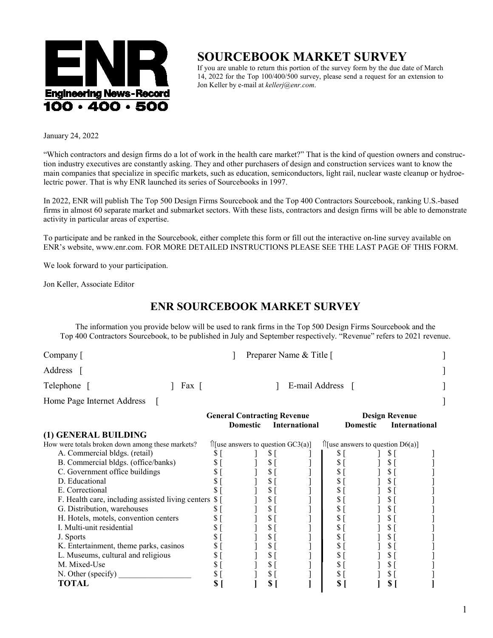

## **SOURCEBOOK MARKET SURVEY**

If you are unable to return this portion of the survey form by the due date of March 14, 2022 for the Top 100/400/500 survey, please send a request for an extension to Jon Keller by e-mail at *kellerj@enr.com*.

January 24, 2022

"Which contractors and design firms do a lot of work in the health care market?" That is the kind of question owners and construction industry executives are constantly asking. They and other purchasers of design and construction services want to know the main companies that specialize in specific markets, such as education, semiconductors, light rail, nuclear waste cleanup or hydroelectric power. That is why ENR launched its series of Sourcebooks in 1997.

In 2022, ENR will publish The Top 500 Design Firms Sourcebook and the Top 400 Contractors Sourcebook, ranking U.S.-based firms in almost 60 separate market and submarket sectors. With these lists, contractors and design firms will be able to demonstrate activity in particular areas of expertise.

To participate and be ranked in the Sourcebook, either complete this form or fill out the interactive on-line survey available on ENR's website, www.enr.com. FOR MORE DETAILED INSTRUCTIONS PLEASE SEE THE LAST PAGE OF THIS FORM.

We look forward to your participation.

Jon Keller, Associate Editor

## **ENR SOURCEBOOK MARKET SURVEY**

The information you provide below will be used to rank firms in the Top 500 Design Firms Sourcebook and the Top 400 Contractors Sourcebook, to be published in July and September respectively. "Revenue" refers to 2021 revenue.

| Company $\lceil$           |       | Preparer Name & Title [ |  |
|----------------------------|-------|-------------------------|--|
| Address                    |       |                         |  |
| Telephone                  | Fax [ | E-mail Address          |  |
| Home Page Internet Address |       |                         |  |

|                                                      | <b>General Contracting Revenue</b>                               |                 |   |                                           | <b>Design Revenue</b> |                 |                      |  |
|------------------------------------------------------|------------------------------------------------------------------|-----------------|---|-------------------------------------------|-----------------------|-----------------|----------------------|--|
|                                                      |                                                                  | <b>Domestic</b> |   | <b>International</b>                      |                       | <b>Domestic</b> | <b>International</b> |  |
| (1) GENERAL BUILDING                                 |                                                                  |                 |   |                                           |                       |                 |                      |  |
| How were totals broken down among these markets?     | $\int \frac{1}{\sec^2 x} f(x) \, dx$ answers to question GC3(a)] |                 |   | $\hat{I}$ [use answers to question D6(a)] |                       |                 |                      |  |
| A. Commercial bldgs. (retail)                        |                                                                  |                 |   |                                           |                       |                 | SТ                   |  |
| B. Commercial bldgs. (office/banks)                  |                                                                  |                 |   |                                           |                       |                 |                      |  |
| C. Government office buildings                       |                                                                  |                 | S |                                           |                       |                 |                      |  |
| D. Educational                                       |                                                                  |                 | S |                                           |                       |                 |                      |  |
| E. Correctional                                      |                                                                  |                 |   |                                           |                       |                 | S                    |  |
| F. Health care, including assisted living centers \$ |                                                                  |                 | S |                                           |                       |                 |                      |  |
| G. Distribution, warehouses                          |                                                                  |                 | S |                                           |                       |                 | D                    |  |
| H. Hotels, motels, convention centers                |                                                                  |                 | S |                                           |                       |                 |                      |  |
| I. Multi-unit residential                            |                                                                  |                 | S |                                           |                       |                 | Ъ                    |  |
| J. Sports                                            |                                                                  |                 | S |                                           |                       |                 | P.                   |  |
| K. Entertainment, theme parks, casinos               |                                                                  |                 | S |                                           |                       |                 | D                    |  |
| L. Museums, cultural and religious                   |                                                                  |                 | S |                                           |                       |                 | D                    |  |
| M. Mixed-Use                                         |                                                                  |                 | S |                                           |                       |                 | D                    |  |
| N. Other (specify)                                   |                                                                  |                 | S |                                           |                       |                 |                      |  |
| TOTAL                                                |                                                                  |                 |   |                                           |                       |                 |                      |  |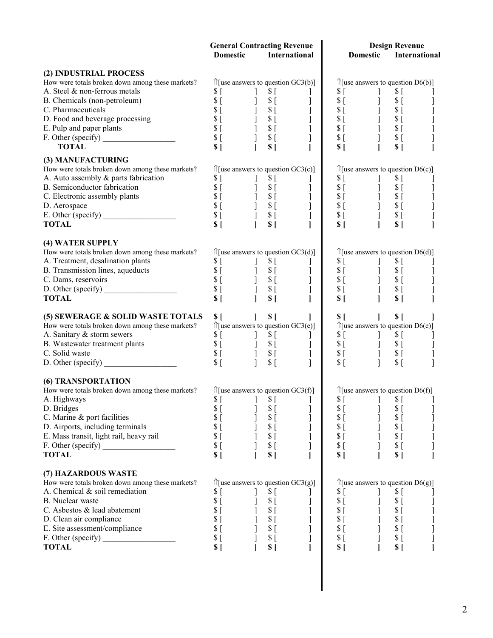|                                                                 | <b>General Contracting Revenue</b>                                                                                                        |                                                                                                                                                                                                                                                                                                                                                                                                                   | <b>Design Revenue</b>                                                                                                                                                                                                                                                                               |                                |  |  |
|-----------------------------------------------------------------|-------------------------------------------------------------------------------------------------------------------------------------------|-------------------------------------------------------------------------------------------------------------------------------------------------------------------------------------------------------------------------------------------------------------------------------------------------------------------------------------------------------------------------------------------------------------------|-----------------------------------------------------------------------------------------------------------------------------------------------------------------------------------------------------------------------------------------------------------------------------------------------------|--------------------------------|--|--|
|                                                                 | <b>Domestic</b>                                                                                                                           | International                                                                                                                                                                                                                                                                                                                                                                                                     | Domestic                                                                                                                                                                                                                                                                                            | International                  |  |  |
| (2) INDUSTRIAL PROCESS                                          |                                                                                                                                           |                                                                                                                                                                                                                                                                                                                                                                                                                   |                                                                                                                                                                                                                                                                                                     |                                |  |  |
| How were totals broken down among these markets?                |                                                                                                                                           | $\hat{z}$ [use answers to question GC3(b)]                                                                                                                                                                                                                                                                                                                                                                        | $\hat{I}$ [use answers to question D6(b)]                                                                                                                                                                                                                                                           |                                |  |  |
| A. Steel & non-ferrous metals                                   | \$[                                                                                                                                       | $$^{[}$<br>$\perp$                                                                                                                                                                                                                                                                                                                                                                                                | \$[<br>\$[<br>$\mathbf{I}$                                                                                                                                                                                                                                                                          |                                |  |  |
| B. Chemicals (non-petroleum)                                    | \$[                                                                                                                                       | $\mathbf{I}$                                                                                                                                                                                                                                                                                                                                                                                                      | $S_{\Gamma}$                                                                                                                                                                                                                                                                                        |                                |  |  |
| C. Pharmaceuticals                                              | \$[                                                                                                                                       |                                                                                                                                                                                                                                                                                                                                                                                                                   | $\begin{array}{c} 0.516 & 0.516 \\ 0.516 & 0.516 \\ 0.516 & 0.516 \\ 0.516 & 0.516 \\ 0.516 & 0.516 \\ 0.516 & 0.516 \\ 0.516 & 0.516 \\ 0.516 & 0.516 \\ 0.516 & 0.516 \\ 0.516 & 0.516 \\ 0.516 & 0.516 \\ 0.516 & 0.516 \\ 0.516 & 0.516 \\ 0.516 & 0.516 \\ 0.516 & 0.516 \\ 0.$<br>$S_{\perp}$ |                                |  |  |
| D. Food and beverage processing                                 | $\Im$ [                                                                                                                                   |                                                                                                                                                                                                                                                                                                                                                                                                                   | $S_{\lbrack}$                                                                                                                                                                                                                                                                                       |                                |  |  |
| E. Pulp and paper plants                                        | \$[                                                                                                                                       |                                                                                                                                                                                                                                                                                                                                                                                                                   | $\Im$ [                                                                                                                                                                                                                                                                                             |                                |  |  |
| E. Pulp and paper plants<br>F. Other (specify)                  | $\begin{array}{c} 1 \ 3 \ 5 \ 1 \ 3 \ 5 \end{array}$<br>$\begin{array}{c} 1 \ 3 \ 5 \ 1 \ 1 \ 1 \ 1 \ 1 \ 1 \end{array}$<br>$S_{\lbrack}$ |                                                                                                                                                                                                                                                                                                                                                                                                                   | $\begin{matrix} 1\\ 1\\ 1\\ 1 \end{matrix}$<br>$S$ [<br>$S_{\lbrack}$                                                                                                                                                                                                                               |                                |  |  |
| <b>TOTAL</b>                                                    | \$[                                                                                                                                       | $\overline{1}$<br>S <sub>1</sub><br>$\mathbf{I}$                                                                                                                                                                                                                                                                                                                                                                  | S <sub>1</sub><br>S <sub>1</sub>                                                                                                                                                                                                                                                                    |                                |  |  |
| (3) MANUFACTURING                                               |                                                                                                                                           |                                                                                                                                                                                                                                                                                                                                                                                                                   |                                                                                                                                                                                                                                                                                                     |                                |  |  |
| How were totals broken down among these markets?                |                                                                                                                                           | $\hat{\Pi}$ [use answers to question GC3(c)]                                                                                                                                                                                                                                                                                                                                                                      | $\hat{z}$ [use answers to question D6(c)]                                                                                                                                                                                                                                                           |                                |  |  |
| A. Auto assembly & parts fabrication                            | \$[<br>$\mathbf{I}$                                                                                                                       | \$[<br>T                                                                                                                                                                                                                                                                                                                                                                                                          | \$[<br>$S_{\Gamma}$<br>$\mathbf{I}$                                                                                                                                                                                                                                                                 |                                |  |  |
| B. Semiconductor fabrication                                    |                                                                                                                                           | $\mathbf{I}$                                                                                                                                                                                                                                                                                                                                                                                                      | $\mathcal{S}$ [                                                                                                                                                                                                                                                                                     |                                |  |  |
| C. Electronic assembly plants                                   |                                                                                                                                           |                                                                                                                                                                                                                                                                                                                                                                                                                   | $S$ [                                                                                                                                                                                                                                                                                               |                                |  |  |
| D. Aerospace                                                    |                                                                                                                                           |                                                                                                                                                                                                                                                                                                                                                                                                                   | $S_{\lbrack}$                                                                                                                                                                                                                                                                                       |                                |  |  |
|                                                                 |                                                                                                                                           | נ<br> <br> <br>                                                                                                                                                                                                                                                                                                                                                                                                   | $\begin{array}{c} \n 8 & 1 \\  8 & 1 \\  8 & 1 \\  8 & 1 \\  8 & 1 \\  1\n \end{array}$<br>$S$ [                                                                                                                                                                                                    |                                |  |  |
| <b>TOTAL</b>                                                    | S <sub>1</sub>                                                                                                                            | $\mathbf{I}$<br>S <sub>1</sub>                                                                                                                                                                                                                                                                                                                                                                                    | S <sub>1</sub><br>S <sub>1</sub>                                                                                                                                                                                                                                                                    |                                |  |  |
|                                                                 |                                                                                                                                           |                                                                                                                                                                                                                                                                                                                                                                                                                   |                                                                                                                                                                                                                                                                                                     |                                |  |  |
| (4) WATER SUPPLY                                                |                                                                                                                                           |                                                                                                                                                                                                                                                                                                                                                                                                                   |                                                                                                                                                                                                                                                                                                     |                                |  |  |
| How were totals broken down among these markets?                |                                                                                                                                           | $\hat{\parallel}$ [use answers to question GC3(d)]                                                                                                                                                                                                                                                                                                                                                                | $\hat{I}$ [use answers to question D6(d)]                                                                                                                                                                                                                                                           |                                |  |  |
| A. Treatment, desalination plants                               | \$[<br>$\frac{1}{2}$ s[                                                                                                                   |                                                                                                                                                                                                                                                                                                                                                                                                                   |                                                                                                                                                                                                                                                                                                     |                                |  |  |
| B. Transmission lines, aqueducts                                |                                                                                                                                           |                                                                                                                                                                                                                                                                                                                                                                                                                   |                                                                                                                                                                                                                                                                                                     |                                |  |  |
| C. Dams, reservoirs                                             |                                                                                                                                           |                                                                                                                                                                                                                                                                                                                                                                                                                   |                                                                                                                                                                                                                                                                                                     |                                |  |  |
|                                                                 |                                                                                                                                           | $\begin{bmatrix} 1 \\ 1 \\ 1 \\ 1 \\ 1 \end{bmatrix}$<br>$\begin{array}{cccc} s & 1 & 1 & s & 1 \\ s & 1 & 1 & s & 1 \\ s & 1 & 1 & 1 & 1 \\ s & 1 & 1 & 1 & 1 \\ s & 1 & 1 & 1 & 1 \\ s & 1 & 1 & 1 & 1 \\ s & 1 & 1 & 1 & 1 \\ s & 1 & 1 & 1 & 1 \\ s & 1 & 1 & 1 & 1 \\ s & 1 & 1 & 1 & 1 \\ s & 1 & 1 & 1 & 1 \\ s & 1 & 1 & 1 & 1 \\ s & 1 & 1 & 1 & 1 \\ s & 1 & 1 & 1 & 1 \\ s & 1 & 1 & 1 & 1 \\ s & 1 &$ |                                                                                                                                                                                                                                                                                                     |                                |  |  |
| <b>TOTAL</b>                                                    | S <sub>1</sub>                                                                                                                            | S <sub>1</sub>                                                                                                                                                                                                                                                                                                                                                                                                    |                                                                                                                                                                                                                                                                                                     |                                |  |  |
| (5) SEWERAGE & SOLID WASTE TOTALS                               | $S \mid$                                                                                                                                  | $\mathbf{1}$<br>S <sub>1</sub>                                                                                                                                                                                                                                                                                                                                                                                    | $\sim$ 1<br>S(<br>$S_{\perp}$                                                                                                                                                                                                                                                                       |                                |  |  |
| How were totals broken down among these markets?                |                                                                                                                                           | $\hat{\parallel}$ [use answers to question GC3(e)]                                                                                                                                                                                                                                                                                                                                                                | $\hat{\parallel}$ [use answers to question D6(e)]                                                                                                                                                                                                                                                   |                                |  |  |
| A. Sanitary & storm sewers                                      |                                                                                                                                           |                                                                                                                                                                                                                                                                                                                                                                                                                   |                                                                                                                                                                                                                                                                                                     |                                |  |  |
| B. Wastewater treatment plants                                  |                                                                                                                                           |                                                                                                                                                                                                                                                                                                                                                                                                                   |                                                                                                                                                                                                                                                                                                     |                                |  |  |
| C. Solid waste                                                  |                                                                                                                                           |                                                                                                                                                                                                                                                                                                                                                                                                                   |                                                                                                                                                                                                                                                                                                     |                                |  |  |
|                                                                 | \$[                                                                                                                                       | $\begin{array}{cccc} \S \;[\; & & & ] \; \S \;[\; & & & ] \; \S \;[\; & & & ] \; \S \;[\; & & & ] \; \S \;[\; & & & ] \; \S \;[\; & & & ] \; \S \;[\; & & & ] \; \S \;[\; & & & ] \; \S \;[\; & & & ] \; \S \;[\; & & & ] \; \S \;[\; & & & ] \; \S \;[\; & & & ] \; \end{array}$<br>$\mathbf{1}$<br>\$[<br>$\mathbf{I}$                                                                                          | $\begin{array}{ccccc} \texttt{s} & & & \texttt{j} & \texttt{s} & & \texttt{s} \\ \texttt{s} & & & \texttt{j} & \texttt{s} & & \texttt{s} \\ \texttt{s} & & & \texttt{j} & \texttt{s} & & \texttt{s} \\ \texttt{s} & & & \texttt{j} & \texttt{s} & & \texttt{s} \\ \end{array}$                      |                                |  |  |
|                                                                 |                                                                                                                                           |                                                                                                                                                                                                                                                                                                                                                                                                                   |                                                                                                                                                                                                                                                                                                     |                                |  |  |
| <b>(6) TRANSPORTATION</b>                                       |                                                                                                                                           |                                                                                                                                                                                                                                                                                                                                                                                                                   |                                                                                                                                                                                                                                                                                                     |                                |  |  |
| How were totals broken down among these markets?<br>A. Highways |                                                                                                                                           | $\hat{I}$ [use answers to question GC3(f)]                                                                                                                                                                                                                                                                                                                                                                        | $\hat{I}$ [use answers to question D6(f)]                                                                                                                                                                                                                                                           |                                |  |  |
| D. Bridges                                                      | \$[<br>$$^{[}$                                                                                                                            | \$[                                                                                                                                                                                                                                                                                                                                                                                                               | \$[<br>\$[<br>\$[<br>\$[                                                                                                                                                                                                                                                                            |                                |  |  |
| C. Marine & port facilities                                     | \$[                                                                                                                                       | \$[<br>\$[                                                                                                                                                                                                                                                                                                                                                                                                        | $S_{\Gamma}$<br>\$[                                                                                                                                                                                                                                                                                 |                                |  |  |
| D. Airports, including terminals                                | \$[                                                                                                                                       | J<br>\$[                                                                                                                                                                                                                                                                                                                                                                                                          | $S_{\Gamma}$<br>\$[                                                                                                                                                                                                                                                                                 |                                |  |  |
| E. Mass transit, light rail, heavy rail                         | \$[                                                                                                                                       | ]<br>$\sqrt{\ }$ [<br>]                                                                                                                                                                                                                                                                                                                                                                                           | $S_{\lbrack}$<br>$S_{\Gamma}$                                                                                                                                                                                                                                                                       |                                |  |  |
| F. Other (specify)                                              | \$[                                                                                                                                       | $$^{[}$                                                                                                                                                                                                                                                                                                                                                                                                           | \$[<br>\$[                                                                                                                                                                                                                                                                                          | ]<br>]<br>]<br>]               |  |  |
| <b>TOTAL</b>                                                    | \$[                                                                                                                                       | S(                                                                                                                                                                                                                                                                                                                                                                                                                | \$[<br>\$[                                                                                                                                                                                                                                                                                          |                                |  |  |
|                                                                 |                                                                                                                                           |                                                                                                                                                                                                                                                                                                                                                                                                                   |                                                                                                                                                                                                                                                                                                     |                                |  |  |
| (7) HAZARDOUS WASTE                                             |                                                                                                                                           |                                                                                                                                                                                                                                                                                                                                                                                                                   |                                                                                                                                                                                                                                                                                                     |                                |  |  |
| How were totals broken down among these markets?                |                                                                                                                                           | $\hat{z}$ [use answers to question GC3(g)]                                                                                                                                                                                                                                                                                                                                                                        | $\hat{I}$ [use answers to question D6(g)]                                                                                                                                                                                                                                                           |                                |  |  |
| A. Chemical & soil remediation                                  | \$[                                                                                                                                       | \$[                                                                                                                                                                                                                                                                                                                                                                                                               | \$[<br>\$[                                                                                                                                                                                                                                                                                          |                                |  |  |
| B. Nuclear waste                                                | \$[                                                                                                                                       | $$^{[}$                                                                                                                                                                                                                                                                                                                                                                                                           | \$[<br>$$^{[}$                                                                                                                                                                                                                                                                                      |                                |  |  |
| C. Asbestos & lead abatement                                    | \$[                                                                                                                                       | \$[                                                                                                                                                                                                                                                                                                                                                                                                               | $$^{[}$<br>\$[<br>J                                                                                                                                                                                                                                                                                 |                                |  |  |
| D. Clean air compliance                                         | \$[                                                                                                                                       | J<br>\$[                                                                                                                                                                                                                                                                                                                                                                                                          | $S_{\Gamma}$<br>\$[                                                                                                                                                                                                                                                                                 |                                |  |  |
| E. Site assessment/compliance                                   | $\mathbf{I}$<br>\$[                                                                                                                       | ]<br>$$^{[}$                                                                                                                                                                                                                                                                                                                                                                                                      | $S_{\Gamma}$<br>$\begin{array}{c} \end{array}$<br>$S_{\Gamma}$                                                                                                                                                                                                                                      | $\begin{array}{c} \end{array}$ |  |  |
|                                                                 | $\big]$<br>\$[                                                                                                                            | \$[                                                                                                                                                                                                                                                                                                                                                                                                               | $S_{\Gamma}$<br>$S_{\Gamma}$                                                                                                                                                                                                                                                                        |                                |  |  |
| <b>TOTAL</b>                                                    | \$[                                                                                                                                       | S(                                                                                                                                                                                                                                                                                                                                                                                                                | S <sub>1</sub><br>\$[                                                                                                                                                                                                                                                                               |                                |  |  |
|                                                                 |                                                                                                                                           |                                                                                                                                                                                                                                                                                                                                                                                                                   |                                                                                                                                                                                                                                                                                                     |                                |  |  |
|                                                                 |                                                                                                                                           |                                                                                                                                                                                                                                                                                                                                                                                                                   |                                                                                                                                                                                                                                                                                                     |                                |  |  |
|                                                                 |                                                                                                                                           |                                                                                                                                                                                                                                                                                                                                                                                                                   |                                                                                                                                                                                                                                                                                                     |                                |  |  |
|                                                                 |                                                                                                                                           |                                                                                                                                                                                                                                                                                                                                                                                                                   |                                                                                                                                                                                                                                                                                                     |                                |  |  |
|                                                                 |                                                                                                                                           |                                                                                                                                                                                                                                                                                                                                                                                                                   |                                                                                                                                                                                                                                                                                                     |                                |  |  |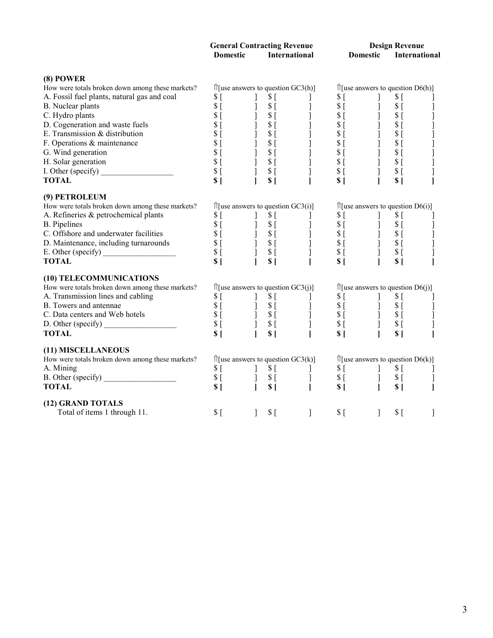|                                                  | <b>Domestic</b>                                                                                                                                                                                                                                                                                                                                                                         |              | <b>General Contracting Revenue</b><br>International                                                                                                                                                                                                                                                                     |                                                                                                                                                                                                                                                                                                                                                                                                                                                                                | Domestic       |                                                                                                                                                                                                                                                                                                                                                  | <b>Design Revenue</b><br>International |                                             |
|--------------------------------------------------|-----------------------------------------------------------------------------------------------------------------------------------------------------------------------------------------------------------------------------------------------------------------------------------------------------------------------------------------------------------------------------------------|--------------|-------------------------------------------------------------------------------------------------------------------------------------------------------------------------------------------------------------------------------------------------------------------------------------------------------------------------|--------------------------------------------------------------------------------------------------------------------------------------------------------------------------------------------------------------------------------------------------------------------------------------------------------------------------------------------------------------------------------------------------------------------------------------------------------------------------------|----------------|--------------------------------------------------------------------------------------------------------------------------------------------------------------------------------------------------------------------------------------------------------------------------------------------------------------------------------------------------|----------------------------------------|---------------------------------------------|
| (8) POWER                                        |                                                                                                                                                                                                                                                                                                                                                                                         |              |                                                                                                                                                                                                                                                                                                                         |                                                                                                                                                                                                                                                                                                                                                                                                                                                                                |                |                                                                                                                                                                                                                                                                                                                                                  |                                        |                                             |
| How were totals broken down among these markets? | $\hat{z}$ [use answers to question GC3(h)]                                                                                                                                                                                                                                                                                                                                              |              |                                                                                                                                                                                                                                                                                                                         |                                                                                                                                                                                                                                                                                                                                                                                                                                                                                |                | $\hat{\Pi}$ [use answers to question D6(h)]                                                                                                                                                                                                                                                                                                      |                                        |                                             |
| A. Fossil fuel plants, natural gas and coal      | \$[                                                                                                                                                                                                                                                                                                                                                                                     |              | \$[                                                                                                                                                                                                                                                                                                                     |                                                                                                                                                                                                                                                                                                                                                                                                                                                                                |                |                                                                                                                                                                                                                                                                                                                                                  | \$[                                    |                                             |
| B. Nuclear plants                                | $S_{\left[}$                                                                                                                                                                                                                                                                                                                                                                            |              | $\Im$ [                                                                                                                                                                                                                                                                                                                 |                                                                                                                                                                                                                                                                                                                                                                                                                                                                                |                |                                                                                                                                                                                                                                                                                                                                                  | $S_{\lbrack}$                          |                                             |
| C. Hydro plants                                  |                                                                                                                                                                                                                                                                                                                                                                                         |              | $S_{\Gamma}$                                                                                                                                                                                                                                                                                                            |                                                                                                                                                                                                                                                                                                                                                                                                                                                                                |                | $\frac{1}{1}$                                                                                                                                                                                                                                                                                                                                    | $S_{\Gamma}$                           |                                             |
| D. Cogeneration and waste fuels                  | $\begin{array}{c}\n  \  \  \, 8 \\   \  \  \, 5 \\   \  \  \, 8 \\   \  \, 1\n \end{array}$                                                                                                                                                                                                                                                                                             | $1 -$        | $S_{\Gamma}$                                                                                                                                                                                                                                                                                                            |                                                                                                                                                                                                                                                                                                                                                                                                                                                                                |                |                                                                                                                                                                                                                                                                                                                                                  | $S_{\Box}$                             |                                             |
| E. Transmission & distribution                   | $S_{\Gamma}$                                                                                                                                                                                                                                                                                                                                                                            |              | $\begin{array}{c} 1\\  \  \, 3\\  \  \, 5\\  \  \, 1\\  \  \, 5\\  \  \, 1\\  \  \, 5\\  \  \, 5\\  \  \, 5\\  \  \, 5\\  \  \, 5\\  \  \, 5\\  \  \, 5\\  \  \, 5\\  \  \, 5\\  \  \, 5\\  \  \, 5\\  \  \, 5\\  \  \, 5\\  \  \, 5\\  \  \, 5\\  \  \, 5\\  \  \, 5\\  \  \, 5\\  \  \, 5\\  \  \, 5\\  \  \, 5\\  \$ |                                                                                                                                                                                                                                                                                                                                                                                                                                                                                |                | $\begin{bmatrix} 1 \\ 1 \\ 1 \end{bmatrix}$                                                                                                                                                                                                                                                                                                      | $\mathbb{S}$ [                         | $\begin{bmatrix} 1 \\ 1 \\ 1 \end{bmatrix}$ |
| F. Operations & maintenance                      |                                                                                                                                                                                                                                                                                                                                                                                         |              |                                                                                                                                                                                                                                                                                                                         |                                                                                                                                                                                                                                                                                                                                                                                                                                                                                |                |                                                                                                                                                                                                                                                                                                                                                  | $S_{\Gamma}$                           |                                             |
| G. Wind generation                               |                                                                                                                                                                                                                                                                                                                                                                                         |              |                                                                                                                                                                                                                                                                                                                         |                                                                                                                                                                                                                                                                                                                                                                                                                                                                                |                |                                                                                                                                                                                                                                                                                                                                                  | $\Im$ [                                |                                             |
| H. Solar generation                              | $\begin{array}{c}\n 3 \\  5 \\  6 \\  8 \\  1\n\end{array}$                                                                                                                                                                                                                                                                                                                             |              |                                                                                                                                                                                                                                                                                                                         |                                                                                                                                                                                                                                                                                                                                                                                                                                                                                |                | $\begin{bmatrix} 1\\ 1\\ 1\\ 1\\ 1\\ 1\\ \end{bmatrix}$                                                                                                                                                                                                                                                                                          | $S_{\Box}$                             | ]<br>]<br>]                                 |
| H. Solar generation<br>I. Other (specify)        | \$[                                                                                                                                                                                                                                                                                                                                                                                     | Ĵ.           | $S_{\Gamma}$                                                                                                                                                                                                                                                                                                            |                                                                                                                                                                                                                                                                                                                                                                                                                                                                                | $S_{\Gamma}$   |                                                                                                                                                                                                                                                                                                                                                  | $$^{[}$                                |                                             |
| <b>TOTAL</b>                                     | S <sub>1</sub>                                                                                                                                                                                                                                                                                                                                                                          | $\mathbf{I}$ | $$^{[}$                                                                                                                                                                                                                                                                                                                 | $\begin{array}{ccc}\n\begin{array}{ccc}\n\sqrt{1} & GC3(h) & & & \\ \hline\n\begin{array}{ccc}\n\cdot & & & & \\ \cdot & & & & \\ \end{array} & & & & & \\ \downarrow & & & & \\ \downarrow & & & & \\ \downarrow & & & & \\ \downarrow & & & & \\ \downarrow & & & & \\ \downarrow & & & & \\ \end{array} & & & & & \\ \downarrow & & & & \\ \downarrow & & & & \\ \downarrow & & & & \\ \downarrow & & & & \\ \downarrow & & & & \\ \end{array} \end{array}$<br>$\mathbf{I}$ | S <sub>1</sub> |                                                                                                                                                                                                                                                                                                                                                  | S(                                     |                                             |
| (9) PETROLEUM                                    |                                                                                                                                                                                                                                                                                                                                                                                         |              |                                                                                                                                                                                                                                                                                                                         |                                                                                                                                                                                                                                                                                                                                                                                                                                                                                |                |                                                                                                                                                                                                                                                                                                                                                  |                                        |                                             |
| How were totals broken down among these markets? | $\hat{z}$ [use answers to question GC3(i)]                                                                                                                                                                                                                                                                                                                                              |              |                                                                                                                                                                                                                                                                                                                         |                                                                                                                                                                                                                                                                                                                                                                                                                                                                                |                | $\hat{\Pi}$ [use answers to question D6(i)]                                                                                                                                                                                                                                                                                                      |                                        |                                             |
| A. Refineries & petrochemical plants             | \$[                                                                                                                                                                                                                                                                                                                                                                                     |              | $$^{[}$                                                                                                                                                                                                                                                                                                                 |                                                                                                                                                                                                                                                                                                                                                                                                                                                                                |                |                                                                                                                                                                                                                                                                                                                                                  |                                        |                                             |
| <b>B.</b> Pipelines                              | $\begin{array}{cccc} \S \;[\; & & & \S \;[\; & & & \S \;[\; & & & \S \;[\; & & & \S \;[\; & & & \S \;[\; & & & \S \;[\; & & & \S \;[\; & & & \S \;[\; & & & \S \;[\; & & & \S \;[\; & & & \S \;[\; & & & \S \;[\; & & & \S \;[\; & & & \S \;[\; & & & \S \;[\; & & & \S \;[\; & & & \S \;[\; & & & \S \;[\; & & & \S \;[\; & & & \S \;[\; & & & \S \;[\; & & & \S \;[\; & & & \S \;[\;$ |              |                                                                                                                                                                                                                                                                                                                         |                                                                                                                                                                                                                                                                                                                                                                                                                                                                                |                | $\begin{array}{cccc} \S & \begin{matrix} 1 & 1 & 1 \\ 1 & 1 & 1 \\ 1 & 1 & 1 \\ 1 & 1 & 1 \\ 1 & 1 & 1 \\ 1 & 1 & 1 \\ 1 & 1 & 1 \\ 1 & 1 & 1 \\ 1 & 1 & 1 \\ 1 & 1 & 1 \\ 1 & 1 & 1 \\ 1 & 1 & 1 \\ 1 & 1 & 1 \\ 1 & 1 & 1 \\ 1 & 1 & 1 \\ 1 & 1 & 1 \\ 1 & 1 & 1 \\ 1 & 1 & 1 \\ 1 & 1 & 1 \\ 1 & 1 & 1 \\ 1 & 1 & 1 \\ 1 & 1 & 1 \\ 1 & 1 & $ |                                        |                                             |
| C. Offshore and underwater facilities            |                                                                                                                                                                                                                                                                                                                                                                                         |              |                                                                                                                                                                                                                                                                                                                         |                                                                                                                                                                                                                                                                                                                                                                                                                                                                                |                |                                                                                                                                                                                                                                                                                                                                                  |                                        |                                             |
| D. Maintenance, including turnarounds            |                                                                                                                                                                                                                                                                                                                                                                                         |              |                                                                                                                                                                                                                                                                                                                         |                                                                                                                                                                                                                                                                                                                                                                                                                                                                                |                |                                                                                                                                                                                                                                                                                                                                                  |                                        | $\begin{bmatrix} 1 \\ 1 \\ 1 \end{bmatrix}$ |
|                                                  |                                                                                                                                                                                                                                                                                                                                                                                         |              |                                                                                                                                                                                                                                                                                                                         |                                                                                                                                                                                                                                                                                                                                                                                                                                                                                |                |                                                                                                                                                                                                                                                                                                                                                  |                                        |                                             |
| <b>TOTAL</b>                                     | S <sub>1</sub>                                                                                                                                                                                                                                                                                                                                                                          | $\mathbf{I}$ | S <sub>1</sub>                                                                                                                                                                                                                                                                                                          | $\mathbf{I}$                                                                                                                                                                                                                                                                                                                                                                                                                                                                   | S <sub>1</sub> |                                                                                                                                                                                                                                                                                                                                                  | S <sub>1</sub>                         |                                             |
| (10) TELECOMMUNICATIONS                          |                                                                                                                                                                                                                                                                                                                                                                                         |              |                                                                                                                                                                                                                                                                                                                         |                                                                                                                                                                                                                                                                                                                                                                                                                                                                                |                |                                                                                                                                                                                                                                                                                                                                                  |                                        |                                             |
| How were totals broken down among these markets? | $\hat{z}$ [use answers to question GC3(j)]                                                                                                                                                                                                                                                                                                                                              |              |                                                                                                                                                                                                                                                                                                                         |                                                                                                                                                                                                                                                                                                                                                                                                                                                                                |                | $\hat{\Pi}$ [use answers to question D6(j)]                                                                                                                                                                                                                                                                                                      |                                        |                                             |
| A. Transmission lines and cabling                |                                                                                                                                                                                                                                                                                                                                                                                         |              |                                                                                                                                                                                                                                                                                                                         |                                                                                                                                                                                                                                                                                                                                                                                                                                                                                |                |                                                                                                                                                                                                                                                                                                                                                  |                                        |                                             |
| B. Towers and antennae                           |                                                                                                                                                                                                                                                                                                                                                                                         |              |                                                                                                                                                                                                                                                                                                                         |                                                                                                                                                                                                                                                                                                                                                                                                                                                                                |                |                                                                                                                                                                                                                                                                                                                                                  |                                        |                                             |
| C. Data centers and Web hotels                   | $\begin{array}{cccc} \S \;[\; & & & \S \;[\; & & & \S \;[\; & & & \S \;[\; & & & \S \;[\; & & & \S \;[\; & & & \S \;[\; & & & \S \;[\; & & & \S \;[\; & & & \S \;[\; & & & \S \;[\; & & & \S \;[\; & & & \S \;[\; & & & \S \;[\; & & & \S \;[\; & & & \S \;[\; & & & \S \;[\; & & & \S \;[\; & & & \S \;[\; & & & \S \;[\; & & & \S \;[\; & & & \S \;[\; & & & \S \;[\; & & & \S \;[\;$ |              |                                                                                                                                                                                                                                                                                                                         |                                                                                                                                                                                                                                                                                                                                                                                                                                                                                |                |                                                                                                                                                                                                                                                                                                                                                  |                                        | $\begin{matrix} 1 \\ 1 \end{matrix}$        |
|                                                  |                                                                                                                                                                                                                                                                                                                                                                                         |              |                                                                                                                                                                                                                                                                                                                         |                                                                                                                                                                                                                                                                                                                                                                                                                                                                                |                |                                                                                                                                                                                                                                                                                                                                                  |                                        |                                             |
| <b>TOTAL</b>                                     | S <sub>1</sub>                                                                                                                                                                                                                                                                                                                                                                          | $\mathbf{I}$ | S <sub>1</sub>                                                                                                                                                                                                                                                                                                          | $\mathbf{I}$                                                                                                                                                                                                                                                                                                                                                                                                                                                                   | S <sub>1</sub> |                                                                                                                                                                                                                                                                                                                                                  | S <sub>1</sub>                         |                                             |
| (11) MISCELLANEOUS                               |                                                                                                                                                                                                                                                                                                                                                                                         |              |                                                                                                                                                                                                                                                                                                                         |                                                                                                                                                                                                                                                                                                                                                                                                                                                                                |                |                                                                                                                                                                                                                                                                                                                                                  |                                        |                                             |
| How were totals broken down among these markets? | $\hat{z}$ [use answers to question GC3(k)]                                                                                                                                                                                                                                                                                                                                              |              |                                                                                                                                                                                                                                                                                                                         |                                                                                                                                                                                                                                                                                                                                                                                                                                                                                |                | $\hat{\Pi}$ [use answers to question D6(k)]                                                                                                                                                                                                                                                                                                      |                                        |                                             |
| A. Mining                                        | $\begin{array}{cc} $1$ \\ $1$ \\ $1$ \\ $1$ \end{array}$                                                                                                                                                                                                                                                                                                                                |              |                                                                                                                                                                                                                                                                                                                         | $\begin{array}{ccc} 1 & s & 1 \\ 3 & s & 1 \\ 1 & s & 1 \\ \end{array}$                                                                                                                                                                                                                                                                                                                                                                                                        |                | $\begin{array}{c} $s$ \  \  $s$ \  \  $s$ \  \  $l$ \  \  $s$ \  \  $l$ \  \  $l$ \end{array}$                                                                                                                                                                                                                                                   | $\frac{\mathbb{S}}{\mathbb{S}}$ [      |                                             |
| B. Other (specify)                               |                                                                                                                                                                                                                                                                                                                                                                                         |              |                                                                                                                                                                                                                                                                                                                         |                                                                                                                                                                                                                                                                                                                                                                                                                                                                                |                |                                                                                                                                                                                                                                                                                                                                                  | $\overline{\$}$ $\overline{S}$         | $\begin{array}{c} \end{array}$              |
| <b>TOTAL</b>                                     | S <sub>1</sub>                                                                                                                                                                                                                                                                                                                                                                          |              | S <sub>1</sub>                                                                                                                                                                                                                                                                                                          | $\mathbf{I}$                                                                                                                                                                                                                                                                                                                                                                                                                                                                   |                |                                                                                                                                                                                                                                                                                                                                                  | S <sub>1</sub>                         |                                             |
| (12) GRAND TOTALS                                |                                                                                                                                                                                                                                                                                                                                                                                         |              |                                                                                                                                                                                                                                                                                                                         |                                                                                                                                                                                                                                                                                                                                                                                                                                                                                |                |                                                                                                                                                                                                                                                                                                                                                  |                                        |                                             |
| Total of items 1 through 11.                     | $$^{[}$                                                                                                                                                                                                                                                                                                                                                                                 | $\mathbf{1}$ | \$[                                                                                                                                                                                                                                                                                                                     | ]                                                                                                                                                                                                                                                                                                                                                                                                                                                                              | $$^{[}$        | 1                                                                                                                                                                                                                                                                                                                                                | \$[                                    | ]                                           |